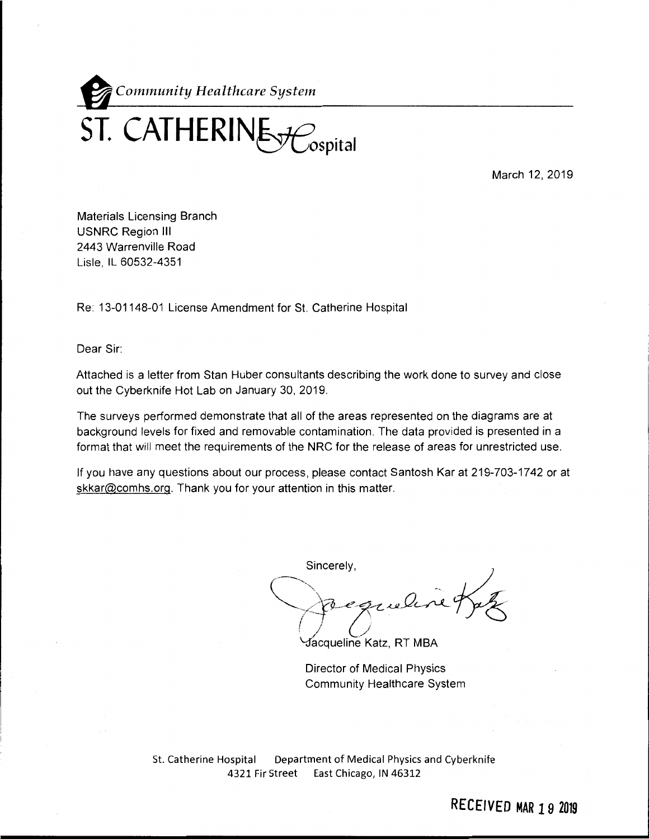

March 12, 2019

Materials Licensing Branch USNRC Region Ill 2443 Warrenville Road Lisle, IL 60532-4351

Re: 13-01148-01 License Amendment for St. Catherine Hospital

Dear Sir:

Attached is a letter from Stan Huber consultants describing the work done to survey and close out the Cyberknife Hot Lab on January 30, 2019.

The surveys performed demonstrate that all of the areas represented on the diagrams are at background levels for fixed and removable contamination. The data provided is presented in a format that will meet the requirements of the NRC for the release of areas for unrestricted use.

If you have any questions about our process, please contact Santosh Kar at 219-703-17 42 or at skkar@comhs.org. Thank you for your attention in this matter.

Sincerely,<br>Chequeline Bak

Jacqueline Katz, RT MBA

Director of Medical Physics Community Healthcare System

St. Catherine Hospital Department of Medical Physics and Cyberknife 4321 Fir Street East Chicago, IN 46312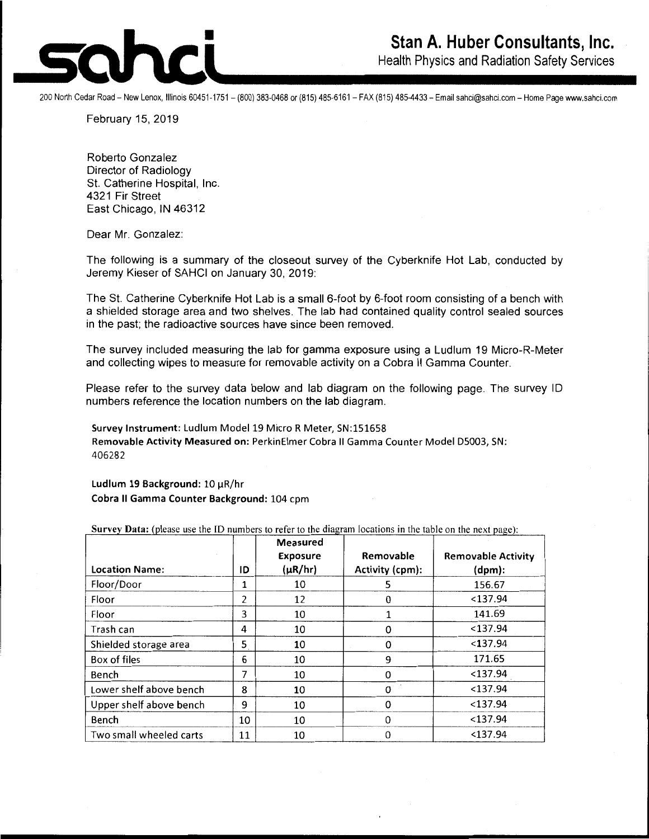

Health Physics and Radiation Safety Services

200 North Cedar Road- New Lenox, Illinois 60451-1751 - (800) 383-0468 or (815) 485-6161 - FAX (815) 485-4433- Email sahci@sahci.com - Home Page www.sahci.com

February 15, 2019

Roberto Gonzalez Director of Radiology St. Catherine Hospital, Inc. 4321 Fir Street East Chicago, IN 46312

Dear Mr. Gonzalez:

The following is a summary of the closeout survey of the Cyberknife Hot Lab, conducted by Jeremy Kieser of SAHCI on January 30, 2019:

The St. Catherine Cyberknife Hot Lab is a small 6-foot by 6-foot room consisting of a bench with a shielded storage area and two shelves. The lab had contained quality control sealed sources in the past; the radioactive sources have since been removed.

The survey included measuring the lab for gamma exposure using a Ludlum 19 Micro-R-Meter and collecting wipes to measure for removable activity on a Cobra II Gamma Counter.

Please refer to the survey data below and lab diagram on the following page. The survey ID numbers reference the location numbers on the lab diagram.

**Survey Instrument:** Ludlum Model 19 Micro R Meter, SN:151658 **Removable Activity Measured on:** PerkinElmer Cobra II Gamma Counter Model 05003, SN: 406282

**Ludlum 19 Background:** 10 µR/hr **Cobra** II **Gamma Counter Background:** 104 cpm

|                         |    | <b>Measured</b><br><b>Exposure</b> | Removable       | <b>Removable Activity</b> |
|-------------------------|----|------------------------------------|-----------------|---------------------------|
| <b>Location Name:</b>   | ID | $(\mu R/hr)$                       | Activity (cpm): | (dpm):                    |
| Floor/Door              | 1  | 10                                 | 5               | 156.67                    |
| Floor                   | 2  | 12                                 | 0               | $<$ 137.94                |
| Floor                   | 3  | 10                                 |                 | 141.69                    |
| Trash can               | 4  | 10                                 | 0               | $<$ 137.94                |
| Shielded storage area   | 5  | 10                                 | 0               | < 137.94                  |
| Box of files            | 6  | 10                                 | 9               | 171.65                    |
| Bench                   | 7  | 10                                 | 0               | $137.94$                  |
| Lower shelf above bench | 8  | 10                                 | 0               | $<$ 137.94                |
| Upper shelf above bench | 9  | 10                                 | 0               | $<$ 137.94                |
| Bench                   | 10 | 10                                 | $\Omega$        | $<$ 137.94                |
| Two small wheeled carts | 11 | 10                                 | 0               | $<$ 137.94                |

**Survey Data:** (please use the ID numbers to refer to the diagram locations in the table on the next page):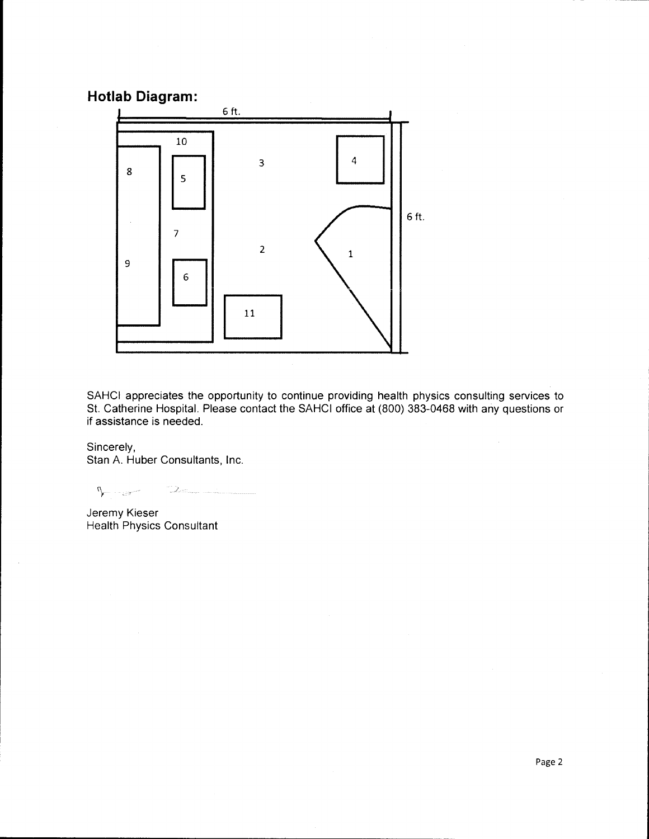## **Hotlab Diagram:**



SAHCI appreciates the opportunity to continue providing health physics consulting services to St. Catherine Hospital. Please contact the SAHCI office at (800) 383-0468 with any questions or if assistance is needed.

Sincerely, Stan A. Huber Consultants, Inc.

 $\sqrt{2\pi}$ /

Jeremy Kieser Health Physics Consultant